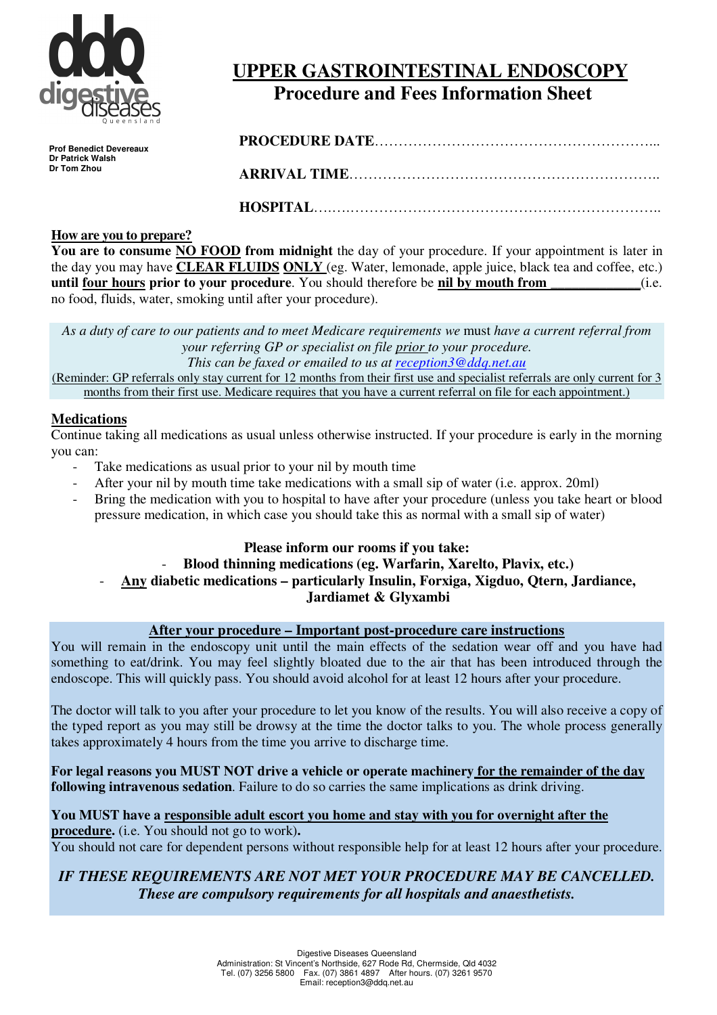

# **UPPER GASTROINTESTINAL ENDOSCOPY Procedure and Fees Information Sheet**

**Prof Benedict Devereaux Dr Patrick Walsh Dr Tom Zhou** 

**PROCEDURE DATE**…………………………………………………...

**ARRIVAL TIME**………………………………………………………..

**HOSPITAL**….….………………………………………………………..

## **How are you to prepare?**

**You are to consume NO FOOD from midnight** the day of your procedure. If your appointment is later in the day you may have **CLEAR FLUIDS ONLY** (eg. Water, lemonade, apple juice, black tea and coffee, etc.) **until four hours prior to your procedure**. You should therefore be **nil by mouth from** \_\_\_\_\_\_\_\_\_\_\_(i.e. no food, fluids, water, smoking until after your procedure).

*As a duty of care to our patients and to meet Medicare requirements we* must *have a current referral from your referring GP or specialist on file prior to your procedure. This can be faxed or emailed to us at reception3@ddq.net.au* (Reminder: GP referrals only stay current for 12 months from their first use and specialist referrals are only current for 3

months from their first use. Medicare requires that you have a current referral on file for each appointment.)

## **Medications**

Continue taking all medications as usual unless otherwise instructed. If your procedure is early in the morning you can:

- Take medications as usual prior to your nil by mouth time
- After your nil by mouth time take medications with a small sip of water (i.e. approx. 20ml)
- Bring the medication with you to hospital to have after your procedure (unless you take heart or blood pressure medication, in which case you should take this as normal with a small sip of water)

## **Please inform our rooms if you take:**

## - **Blood thinning medications (eg. Warfarin, Xarelto, Plavix, etc.)**  - **Any diabetic medications – particularly Insulin, Forxiga, Xigduo, Qtern, Jardiance, Jardiamet & Glyxambi**

## **After your procedure – Important post-procedure care instructions**

You will remain in the endoscopy unit until the main effects of the sedation wear off and you have had something to eat/drink. You may feel slightly bloated due to the air that has been introduced through the endoscope. This will quickly pass. You should avoid alcohol for at least 12 hours after your procedure.

The doctor will talk to you after your procedure to let you know of the results. You will also receive a copy of the typed report as you may still be drowsy at the time the doctor talks to you. The whole process generally takes approximately 4 hours from the time you arrive to discharge time.

**For legal reasons you MUST NOT drive a vehicle or operate machinery for the remainder of the day following intravenous sedation**. Failure to do so carries the same implications as drink driving.

**You MUST have a responsible adult escort you home and stay with you for overnight after the procedure.** (i.e. You should not go to work)**.**  You should not care for dependent persons without responsible help for at least 12 hours after your procedure.

## *IF THESE REQUIREMENTS ARE NOT MET YOUR PROCEDURE MAY BE CANCELLED. These are compulsory requirements for all hospitals and anaesthetists.*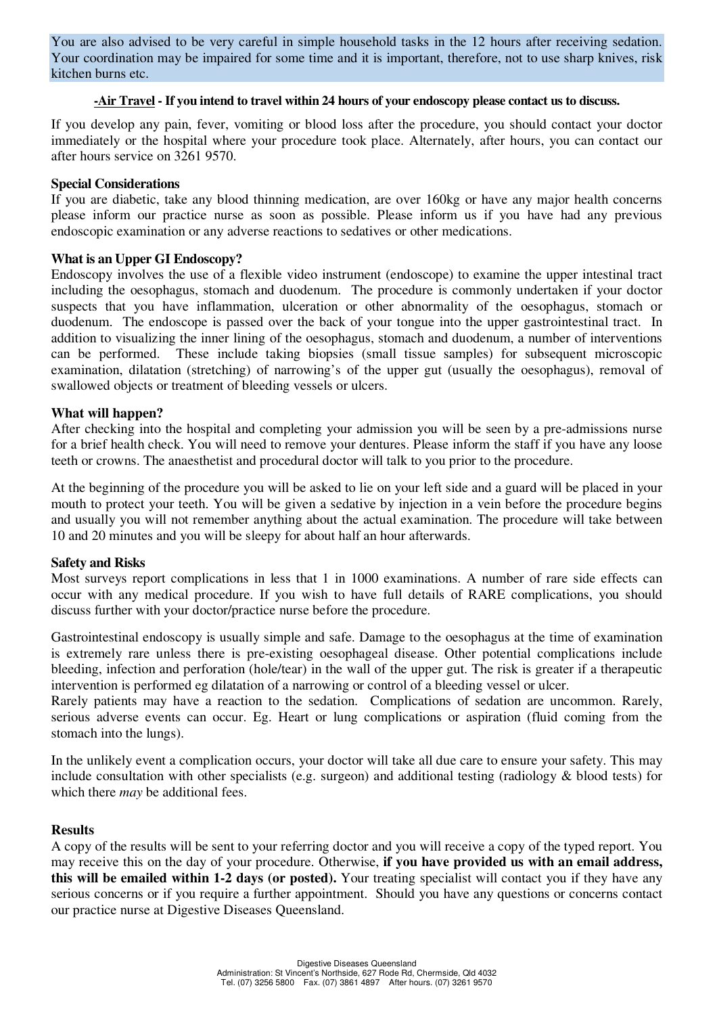You are also advised to be very careful in simple household tasks in the 12 hours after receiving sedation. Your coordination may be impaired for some time and it is important, therefore, not to use sharp knives, risk kitchen burns etc.

#### **-Air Travel - If you intend to travel within 24 hours of your endoscopy please contact us to discuss.**

If you develop any pain, fever, vomiting or blood loss after the procedure, you should contact your doctor immediately or the hospital where your procedure took place. Alternately, after hours, you can contact our after hours service on 3261 9570.

#### **Special Considerations**

If you are diabetic, take any blood thinning medication, are over 160kg or have any major health concerns please inform our practice nurse as soon as possible. Please inform us if you have had any previous endoscopic examination or any adverse reactions to sedatives or other medications.

#### **What is an Upper GI Endoscopy?**

Endoscopy involves the use of a flexible video instrument (endoscope) to examine the upper intestinal tract including the oesophagus, stomach and duodenum. The procedure is commonly undertaken if your doctor suspects that you have inflammation, ulceration or other abnormality of the oesophagus, stomach or duodenum. The endoscope is passed over the back of your tongue into the upper gastrointestinal tract. In addition to visualizing the inner lining of the oesophagus, stomach and duodenum, a number of interventions can be performed. These include taking biopsies (small tissue samples) for subsequent microscopic examination, dilatation (stretching) of narrowing's of the upper gut (usually the oesophagus), removal of swallowed objects or treatment of bleeding vessels or ulcers.

#### **What will happen?**

After checking into the hospital and completing your admission you will be seen by a pre-admissions nurse for a brief health check. You will need to remove your dentures. Please inform the staff if you have any loose teeth or crowns. The anaesthetist and procedural doctor will talk to you prior to the procedure.

At the beginning of the procedure you will be asked to lie on your left side and a guard will be placed in your mouth to protect your teeth. You will be given a sedative by injection in a vein before the procedure begins and usually you will not remember anything about the actual examination. The procedure will take between 10 and 20 minutes and you will be sleepy for about half an hour afterwards.

#### **Safety and Risks**

Most surveys report complications in less that 1 in 1000 examinations. A number of rare side effects can occur with any medical procedure. If you wish to have full details of RARE complications, you should discuss further with your doctor/practice nurse before the procedure.

Gastrointestinal endoscopy is usually simple and safe. Damage to the oesophagus at the time of examination is extremely rare unless there is pre-existing oesophageal disease. Other potential complications include bleeding, infection and perforation (hole/tear) in the wall of the upper gut. The risk is greater if a therapeutic intervention is performed eg dilatation of a narrowing or control of a bleeding vessel or ulcer.

Rarely patients may have a reaction to the sedation. Complications of sedation are uncommon. Rarely, serious adverse events can occur. Eg. Heart or lung complications or aspiration (fluid coming from the stomach into the lungs).

In the unlikely event a complication occurs, your doctor will take all due care to ensure your safety. This may include consultation with other specialists (e.g. surgeon) and additional testing (radiology & blood tests) for which there *may* be additional fees.

#### **Results**

A copy of the results will be sent to your referring doctor and you will receive a copy of the typed report. You may receive this on the day of your procedure. Otherwise, **if you have provided us with an email address, this will be emailed within 1-2 days (or posted).** Your treating specialist will contact you if they have any serious concerns or if you require a further appointment. Should you have any questions or concerns contact our practice nurse at Digestive Diseases Queensland.